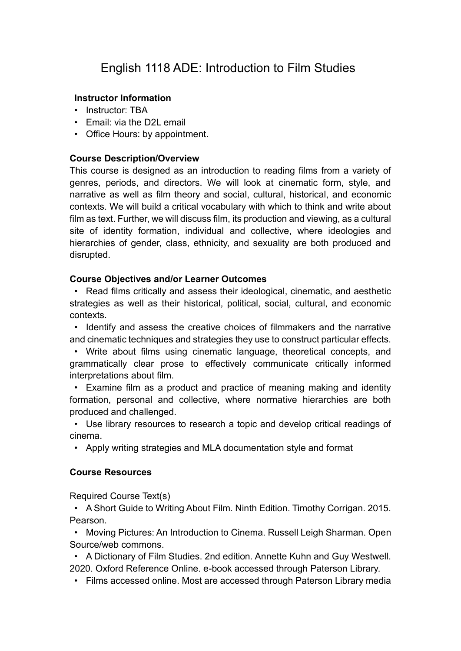# English 1118 ADE: Introduction to Film Studies

## **Instructor Information**

- Instructor: TBA
- Email: via the D2L email
- Office Hours: by appointment.

## **Course Description/Overview**

This course is designed as an introduction to reading films from a variety of genres, periods, and directors. We will look at cinematic form, style, and narrative as well as film theory and social, cultural, historical, and economic contexts. We will build a critical vocabulary with which to think and write about film as text. Further, we will discuss film, its production and viewing, as a cultural site of identity formation, individual and collective, where ideologies and hierarchies of gender, class, ethnicity, and sexuality are both produced and disrupted.

## **Course Objectives and/or Learner Outcomes**

• Read films critically and assess their ideological, cinematic, and aesthetic strategies as well as their historical, political, social, cultural, and economic contexts.

• Identify and assess the creative choices of filmmakers and the narrative and cinematic techniques and strategies they use to construct particular effects.

• Write about films using cinematic language, theoretical concepts, and grammatically clear prose to effectively communicate critically informed interpretations about film.

• Examine film as a product and practice of meaning making and identity formation, personal and collective, where normative hierarchies are both produced and challenged.

• Use library resources to research a topic and develop critical readings of cinema.

• Apply writing strategies and MLA documentation style and format

## **Course Resources**

Required Course Text(s)

• A Short Guide to Writing About Film. Ninth Edition. Timothy Corrigan. 2015. Pearson.

• Moving Pictures: An Introduction to Cinema. Russell Leigh Sharman. Open Source/web commons.

• A Dictionary of Film Studies. 2nd edition. Annette Kuhn and Guy Westwell. 2020. Oxford Reference Online. e-book accessed through Paterson Library.

• Films accessed online. Most are accessed through Paterson Library media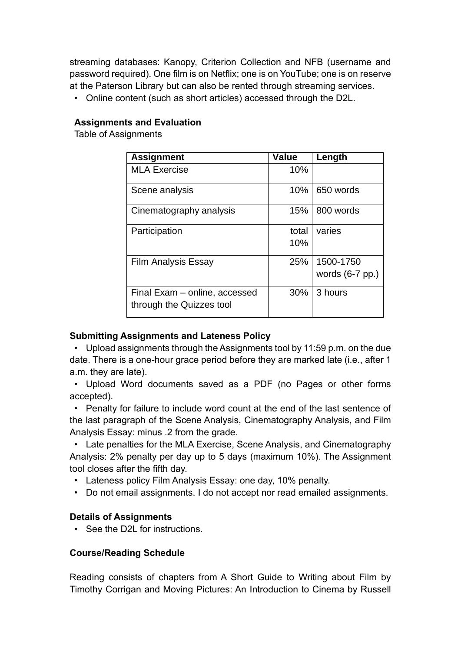streaming databases: Kanopy, Criterion Collection and NFB (username and password required). One film is on Netflix; one is on YouTube; one is on reserve at the Paterson Library but can also be rented through streaming services.

• Online content (such as short articles) accessed through the D2L.

## **Assignments and Evaluation**

Table of Assignments

| <b>Assignment</b>                                         | <b>Value</b> | Length                         |
|-----------------------------------------------------------|--------------|--------------------------------|
| <b>MLA Exercise</b>                                       | 10%          |                                |
| Scene analysis                                            | 10%          | 650 words                      |
| Cinematography analysis                                   | 15%          | 800 words                      |
| Participation                                             | total<br>10% | varies                         |
| <b>Film Analysis Essay</b>                                | 25%          | 1500-1750<br>words $(6-7$ pp.) |
| Final Exam - online, accessed<br>through the Quizzes tool | 30%          | 3 hours                        |

## **Submitting Assignments and Lateness Policy**

• Upload assignments through the Assignments tool by 11:59 p.m. on the due date. There is a one-hour grace period before they are marked late (i.e., after 1 a.m. they are late).

• Upload Word documents saved as a PDF (no Pages or other forms accepted).

• Penalty for failure to include word count at the end of the last sentence of the last paragraph of the Scene Analysis, Cinematography Analysis, and Film Analysis Essay: minus .2 from the grade.

• Late penalties for the MLA Exercise, Scene Analysis, and Cinematography Analysis: 2% penalty per day up to 5 days (maximum 10%). The Assignment tool closes after the fifth day.

- Lateness policy Film Analysis Essay: one day, 10% penalty.
- Do not email assignments. I do not accept nor read emailed assignments.

## **Details of Assignments**

• See the D2L for instructions.

## **Course/Reading Schedule**

Reading consists of chapters from A Short Guide to Writing about Film by Timothy Corrigan and Moving Pictures: An Introduction to Cinema by Russell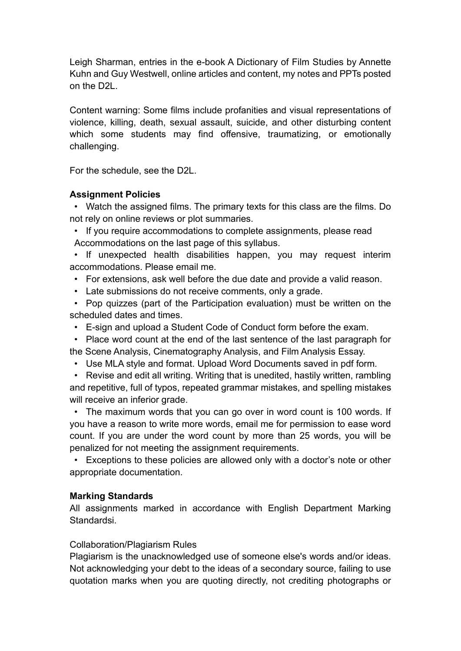Leigh Sharman, entries in the e-book A Dictionary of Film Studies by Annette Kuhn and Guy Westwell, online articles and content, my notes and PPTs posted on the D2L.

Content warning: Some films include profanities and visual representations of violence, killing, death, sexual assault, suicide, and other disturbing content which some students may find offensive, traumatizing, or emotionally challenging.

For the schedule, see the D2L.

## **Assignment Policies**

• Watch the assigned films. The primary texts for this class are the films. Do not rely on online reviews or plot summaries.

• If you require accommodations to complete assignments, please read Accommodations on the last page of this syllabus.

• If unexpected health disabilities happen, you may request interim accommodations. Please email me.

- For extensions, ask well before the due date and provide a valid reason.
- Late submissions do not receive comments, only a grade.

• Pop quizzes (part of the Participation evaluation) must be written on the scheduled dates and times.

• E-sign and upload a Student Code of Conduct form before the exam.

• Place word count at the end of the last sentence of the last paragraph for the Scene Analysis, Cinematography Analysis, and Film Analysis Essay.

• Use MLA style and format. Upload Word Documents saved in pdf form.

• Revise and edit all writing. Writing that is unedited, hastily written, rambling

and repetitive, full of typos, repeated grammar mistakes, and spelling mistakes will receive an inferior grade.

• The maximum words that you can go over in word count is 100 words. If you have a reason to write more words, email me for permission to ease word count. If you are under the word count by more than 25 words, you will be penalized for not meeting the assignment requirements.

• Exceptions to these policies are allowed only with a doctor's note or other appropriate documentation.

## **Marking Standards**

All assignments marked in accordance with English Department Marking Standardsi.

## Collaboration/Plagiarism Rules

Plagiarism is the unacknowledged use of someone else's words and/or ideas. Not acknowledging your debt to the ideas of a secondary source, failing to use quotation marks when you are quoting directly, not crediting photographs or